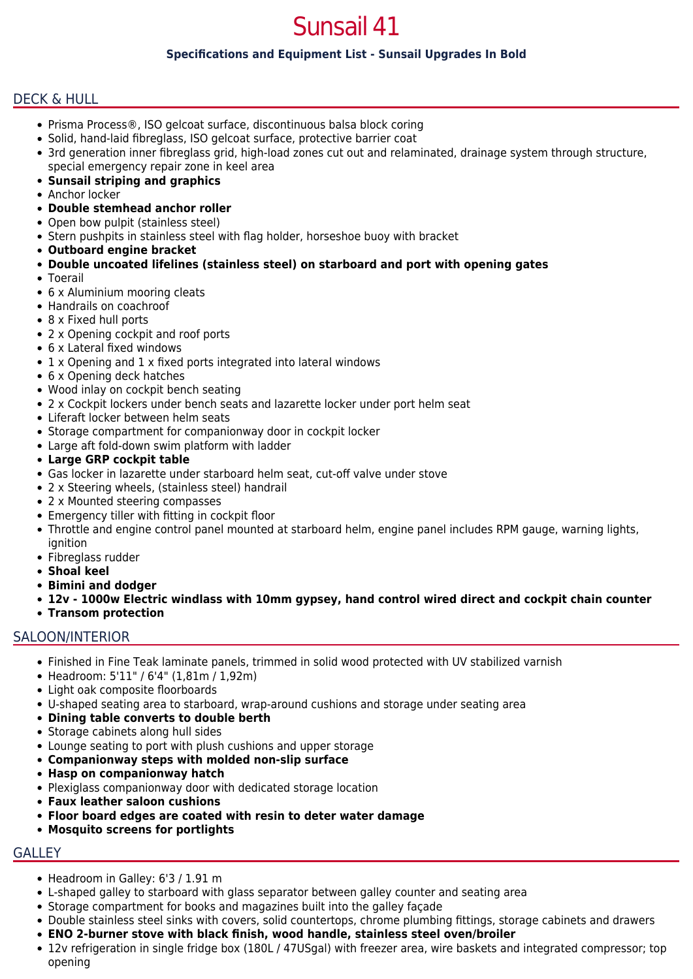# Sunsail 41

## **Specifications and Equipment List - Sunsail Upgrades In Bold**

## DECK & HULL

- Prisma Process®, ISO gelcoat surface, discontinuous balsa block coring
- Solid, hand-laid fibreglass, ISO gelcoat surface, protective barrier coat
- 3rd generation inner fibreglass grid, high-load zones cut out and relaminated, drainage system through structure, special emergency repair zone in keel area
- **Sunsail striping and graphics**
- Anchor locker
- **Double stemhead anchor roller**
- Open bow pulpit (stainless steel)
- Stern pushpits in stainless steel with flag holder, horseshoe buoy with bracket
- **Outboard engine bracket**
- **Double uncoated lifelines (stainless steel) on starboard and port with opening gates**
- Toerail
- 6 x Aluminium mooring cleats
- Handrails on coachroof
- 8 x Fixed hull ports
- 2 x Opening cockpit and roof ports
- 6 x Lateral fixed windows
- 1 x Opening and 1 x fixed ports integrated into lateral windows
- 6 x Opening deck hatches
- Wood inlay on cockpit bench seating
- 2 x Cockpit lockers under bench seats and lazarette locker under port helm seat
- Liferaft locker between helm seats
- Storage compartment for companionway door in cockpit locker
- Large aft fold-down swim platform with ladder
- **Large GRP cockpit table**
- Gas locker in lazarette under starboard helm seat, cut-off valve under stove
- 2 x Steering wheels, (stainless steel) handrail
- 2 x Mounted steering compasses
- Emergency tiller with fitting in cockpit floor
- Throttle and engine control panel mounted at starboard helm, engine panel includes RPM gauge, warning lights, ignition
- Fibreglass rudder
- **Shoal keel**
- **Bimini and dodger**
- **12v 1000w Electric windlass with 10mm gypsey, hand control wired direct and cockpit chain counter**
- **Transom protection**

#### SALOON/INTERIOR

- Finished in Fine Teak laminate panels, trimmed in solid wood protected with UV stabilized varnish
- Headroom: 5'11" / 6'4" (1,81m / 1,92m)
- Light oak composite floorboards
- U-shaped seating area to starboard, wrap-around cushions and storage under seating area
- **Dining table converts to double berth**
- Storage cabinets along hull sides
- Lounge seating to port with plush cushions and upper storage
- **Companionway steps with molded non-slip surface**
- **Hasp on companionway hatch**
- Plexiglass companionway door with dedicated storage location
- **Faux leather saloon cushions**
- **Floor board edges are coated with resin to deter water damage**
- **Mosquito screens for portlights**

## **GALLEY**

- Headroom in Galley: 6'3 / 1.91 m
- L-shaped galley to starboard with glass separator between galley counter and seating area
- Storage compartment for books and magazines built into the galley façade
- Double stainless steel sinks with covers, solid countertops, chrome plumbing fittings, storage cabinets and drawers
- **ENO 2-burner stove with black finish, wood handle, stainless steel oven/broiler**
- 12v refrigeration in single fridge box (180L / 47USgal) with freezer area, wire baskets and integrated compressor; top opening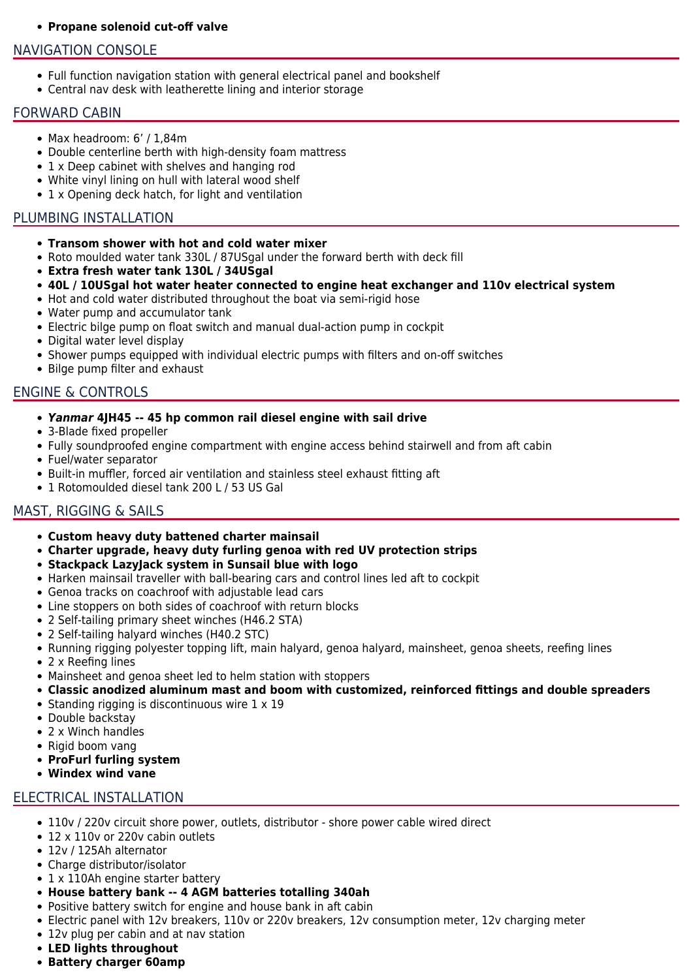#### **Propane solenoid cut-off valve**

## NAVIGATION CONSOLE

- Full function navigation station with general electrical panel and bookshelf
- Central nav desk with leatherette lining and interior storage

#### FORWARD CABIN

- Max headroom: 6' / 1,84m
- Double centerline berth with high-density foam mattress
- 1 x Deep cabinet with shelves and hanging rod
- White vinyl lining on hull with lateral wood shelf
- 1 x Opening deck hatch, for light and ventilation

## PLUMBING INSTALLATION

- **Transom shower with hot and cold water mixer**
- Roto moulded water tank 330L / 87USgal under the forward berth with deck fill
- **Extra fresh water tank 130L / 34USgal**
- **40L / 10USgal hot water heater connected to engine heat exchanger and 110v electrical system**
- Hot and cold water distributed throughout the boat via semi-rigid hose
- Water pump and accumulator tank
- Electric bilge pump on float switch and manual dual-action pump in cockpit
- Digital water level display
- Shower pumps equipped with individual electric pumps with filters and on-off switches
- Bilge pump filter and exhaust

## ENGINE & CONTROLS

- *Yanmar* **4JH45 -- 45 hp common rail diesel engine with sail drive**
- 3-Blade fixed propeller
- Fully soundproofed engine compartment with engine access behind stairwell and from aft cabin
- Fuel/water separator
- Built-in muffler, forced air ventilation and stainless steel exhaust fitting aft
- 1 Rotomoulded diesel tank 200 L / 53 US Gal

## MAST, RIGGING & SAILS

- **Custom heavy duty battened charter mainsail**
- **Charter upgrade, heavy duty furling genoa with red UV protection strips**
- **Stackpack LazyJack system in Sunsail blue with logo**
- Harken mainsail traveller with ball-bearing cars and control lines led aft to cockpit
- Genoa tracks on coachroof with adjustable lead cars
- Line stoppers on both sides of coachroof with return blocks
- 2 Self-tailing primary sheet winches (H46.2 STA)
- 2 Self-tailing halyard winches (H40.2 STC)
- Running rigging polyester topping lift, main halyard, genoa halyard, mainsheet, genoa sheets, reefing lines
- 2 x Reefing lines
- Mainsheet and genoa sheet led to helm station with stoppers
- **Classic anodized aluminum mast and boom with customized, reinforced fittings and double spreaders**
- Standing rigging is discontinuous wire  $1 \times 19$
- Double backstav
- 2 x Winch handles
- Rigid boom vang
- **ProFurl furling system**
- **Windex wind vane**

#### ELECTRICAL INSTALLATION

- 110v / 220v circuit shore power, outlets, distributor shore power cable wired direct
- 12 x 110v or 220v cabin outlets
- 12v / 125Ah alternator
- Charge distributor/isolator
- 1 x 110Ah engine starter battery
- **House battery bank -- 4 AGM batteries totalling 340ah**
- Positive battery switch for engine and house bank in aft cabin
- Electric panel with 12v breakers, 110v or 220v breakers, 12v consumption meter, 12v charging meter
- 12v plug per cabin and at nav station
- **LED lights throughout**
- **Battery charger 60amp**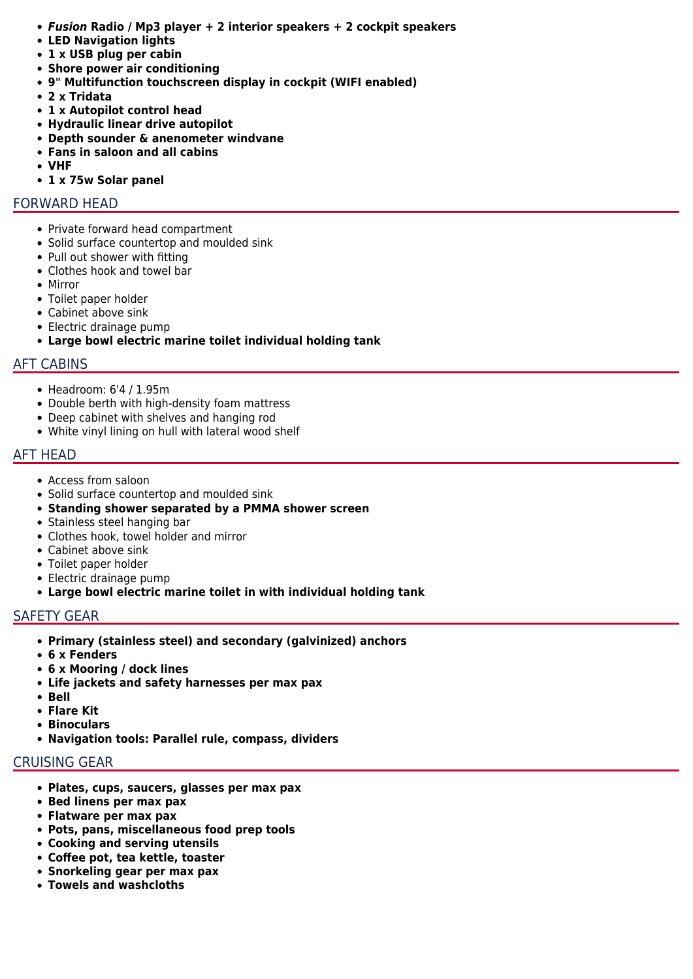- *Fusion* **Radio / Mp3 player + 2 interior speakers + 2 cockpit speakers**
- **LED Navigation lights**
- **1 x USB plug per cabin**
- **Shore power air conditioning**
- **9" Multifunction touchscreen display in cockpit (WIFI enabled)**
- **2 x Tridata**
- **1 x Autopilot control head**
- **Hydraulic linear drive autopilot**
- **Depth sounder & anenometer windvane**
- **Fans in saloon and all cabins**
- **VHF**
- **1 x 75w Solar panel**

#### FORWARD HEAD

- Private forward head compartment
- Solid surface countertop and moulded sink
- Pull out shower with fitting
- Clothes hook and towel bar
- Mirror
- Toilet paper holder
- Cabinet above sink
- Electric drainage pump
- **Large bowl electric marine toilet individual holding tank**

#### AFT CABINS

- Headroom: 6'4 / 1.95m
- Double berth with high-density foam mattress
- Deep cabinet with shelves and hanging rod
- White vinyl lining on hull with lateral wood shelf

#### AFT HEAD

- Access from saloon
- Solid surface countertop and moulded sink
- **Standing shower separated by a PMMA shower screen**
- Stainless steel hanging bar
- Clothes hook, towel holder and mirror
- Cabinet above sink
- Toilet paper holder
- Electric drainage pump
- **Large bowl electric marine toilet in with individual holding tank**

#### SAFETY GEAR

- **Primary (stainless steel) and secondary (galvinized) anchors**
- **6 x Fenders**
- **6 x Mooring / dock lines**
- **Life jackets and safety harnesses per max pax**
- **Bell**
- **Flare Kit**
- **Binoculars**
- **Navigation tools: Parallel rule, compass, dividers**

## CRUISING GEAR

- **Plates, cups, saucers, glasses per max pax**
- **Bed linens per max pax**
- **Flatware per max pax**
- **Pots, pans, miscellaneous food prep tools**
- **Cooking and serving utensils**
- **Coffee pot, tea kettle, toaster**
- **Snorkeling gear per max pax**
- **Towels and washcloths**